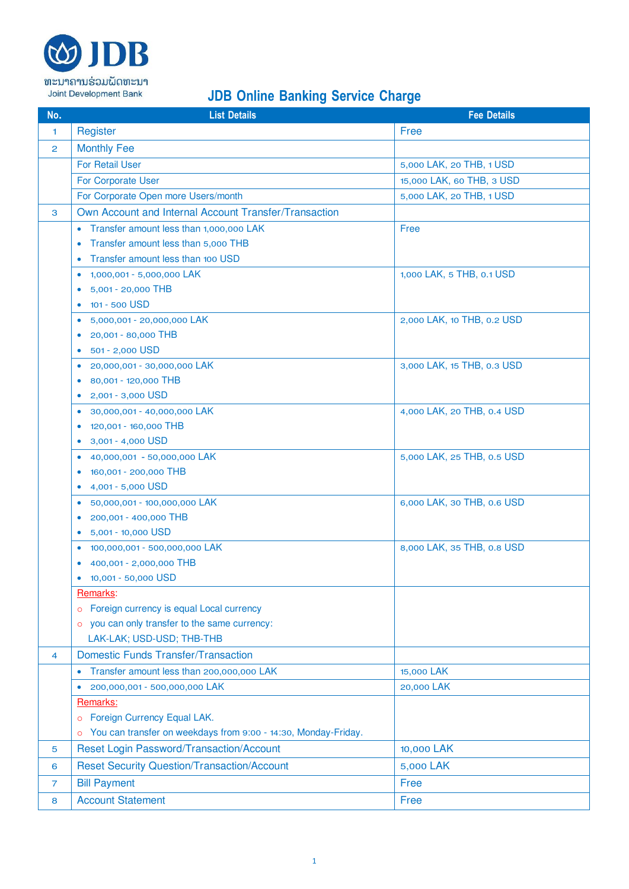

## **JDB Online Banking Service Charge**

| No.            | <b>List Details</b>                                                       | <b>Fee Details</b>         |
|----------------|---------------------------------------------------------------------------|----------------------------|
| $\mathbf{1}$   | Register                                                                  | Free                       |
| $\overline{2}$ | <b>Monthly Fee</b>                                                        |                            |
|                | <b>For Retail User</b>                                                    | 5,000 LAK, 20 THB, 1 USD   |
|                | For Corporate User                                                        | 15,000 LAK, 60 THB, 3 USD  |
|                | For Corporate Open more Users/month                                       | 5,000 LAK, 20 THB, 1 USD   |
| 3              | Own Account and Internal Account Transfer/Transaction                     |                            |
|                | Transfer amount less than 1,000,000 LAK<br>$\bullet$                      | Free                       |
|                | Transfer amount less than 5,000 THB<br>$\bullet$                          |                            |
|                | Transfer amount less than 100 USD<br>$\bullet$                            |                            |
|                | 1,000,001 - 5,000,000 LAK<br>$\bullet$                                    | 1,000 LAK, 5 THB, 0.1 USD  |
|                | 5,001 - 20,000 THB                                                        |                            |
|                | 101 - 500 USD<br>$\bullet$                                                |                            |
|                | 5,000,001 - 20,000,000 LAK<br>$\bullet$                                   | 2,000 LAK, 10 THB, 0.2 USD |
|                | 20,001 - 80,000 THB<br>$\bullet$                                          |                            |
|                | 501 - 2,000 USD<br>$\bullet$                                              |                            |
|                | 20,000,001 - 30,000,000 LAK<br>$\bullet$                                  | 3,000 LAK, 15 THB, 0.3 USD |
|                | 80,001 - 120,000 THB<br>$\bullet$                                         |                            |
|                | 2,001 - 3,000 USD                                                         |                            |
|                | 30,000,001 - 40,000,000 LAK<br>$\bullet$                                  | 4,000 LAK, 20 THB, 0.4 USD |
|                | 120,001 - 160,000 THB<br>$\bullet$                                        |                            |
|                | 3,001 - 4,000 USD                                                         |                            |
|                | 40,000,001 - 50,000,000 LAK<br>۰                                          | 5,000 LAK, 25 THB, 0.5 USD |
|                | 160,001 - 200,000 THB<br>$\bullet$                                        |                            |
|                | 4,001 - 5,000 USD<br>۰<br>50,000,001 - 100,000,000 LAK                    |                            |
|                | $\bullet$<br>200,001 - 400,000 THB                                        | 6,000 LAK, 30 THB, 0.6 USD |
|                | 5,001 - 10,000 USD<br>$\bullet$                                           |                            |
|                | 100,000,001 - 500,000,000 LAK<br>$\bullet$                                | 8,000 LAK, 35 THB, 0.8 USD |
|                | 400,001 - 2,000,000 THB                                                   |                            |
|                | 10,001 - 50,000 USD                                                       |                            |
|                | Remarks:                                                                  |                            |
|                | Foreign currency is equal Local currency<br>$\circ$                       |                            |
|                | you can only transfer to the same currency:<br>$\circ$                    |                            |
|                | LAK-LAK; USD-USD; THB-THB                                                 |                            |
| 4              | <b>Domestic Funds Transfer/Transaction</b>                                |                            |
|                | Transfer amount less than 200,000,000 LAK<br>$\bullet$                    | 15,000 LAK                 |
|                | 200,000,001 - 500,000,000 LAK                                             | 20,000 LAK                 |
|                | Remarks:                                                                  |                            |
|                | Foreign Currency Equal LAK.<br>$\circ$                                    |                            |
|                | You can transfer on weekdays from 9:00 - 14:30, Monday-Friday.<br>$\circ$ |                            |
| 5              | Reset Login Password/Transaction/Account                                  | 10,000 LAK                 |
| 6              | <b>Reset Security Question/Transaction/Account</b>                        | 5,000 LAK                  |
| $\overline{7}$ | <b>Bill Payment</b>                                                       | Free                       |
| 8              | <b>Account Statement</b>                                                  | Free                       |